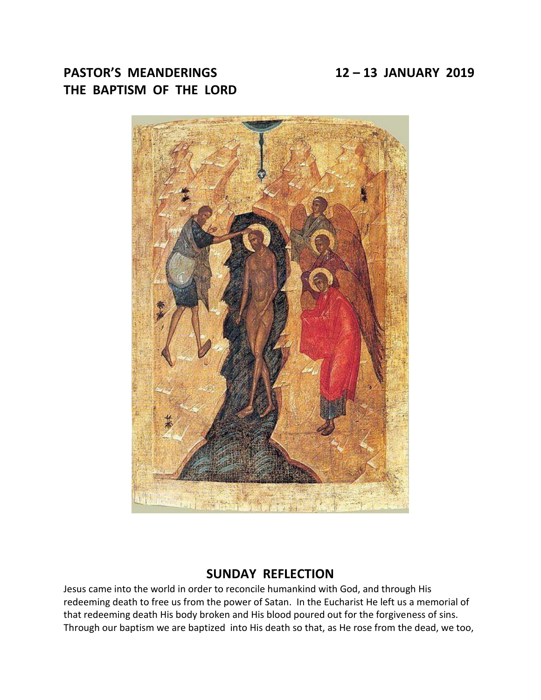# **PASTOR'S MEANDERINGS 12 – 13 JANUARY 2019 THE BAPTISM OF THE LORD**



## **SUNDAY REFLECTION**

Jesus came into the world in order to reconcile humankind with God, and through His redeeming death to free us from the power of Satan. In the Eucharist He left us a memorial of that redeeming death His body broken and His blood poured out for the forgiveness of sins. Through our baptism we are baptized into His death so that, as He rose from the dead, we too,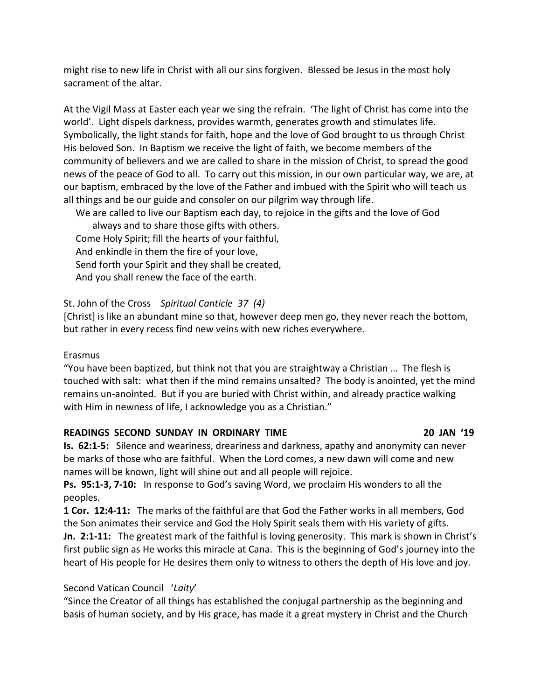might rise to new life in Christ with all our sins forgiven. Blessed be Jesus in the most holy sacrament of the altar.

At the Vigil Mass at Easter each year we sing the refrain. 'The light of Christ has come into the world'. Light dispels darkness, provides warmth, generates growth and stimulates life. Symbolically, the light stands for faith, hope and the love of God brought to us through Christ His beloved Son. In Baptism we receive the light of faith, we become members of the community of believers and we are called to share in the mission of Christ, to spread the good news of the peace of God to all. To carry out this mission, in our own particular way, we are, at our baptism, embraced by the love of the Father and imbued with the Spirit who will teach us all things and be our guide and consoler on our pilgrim way through life.

 We are called to live our Baptism each day, to rejoice in the gifts and the love of God always and to share those gifts with others. Come Holy Spirit; fill the hearts of your faithful, And enkindle in them the fire of your love, Send forth your Spirit and they shall be created, And you shall renew the face of the earth.

St. John of the Cross *Spiritual Canticle 37 (4)*

[Christ] is like an abundant mine so that, however deep men go, they never reach the bottom, but rather in every recess find new veins with new riches everywhere.

#### Erasmus

"You have been baptized, but think not that you are straightway a Christian … The flesh is touched with salt: what then if the mind remains unsalted? The body is anointed, yet the mind remains un-anointed. But if you are buried with Christ within, and already practice walking with Him in newness of life, I acknowledge you as a Christian."

#### **READINGS SECOND SUNDAY IN ORDINARY TIME 20 JAN '19**

**Is. 62:1-5:** Silence and weariness, dreariness and darkness, apathy and anonymity can never be marks of those who are faithful. When the Lord comes, a new dawn will come and new names will be known, light will shine out and all people will rejoice.

**Ps. 95:1-3, 7-10:** In response to God's saving Word, we proclaim His wonders to all the peoples.

**1 Cor. 12:4-11:** The marks of the faithful are that God the Father works in all members, God the Son animates their service and God the Holy Spirit seals them with His variety of gifts. **Jn. 2:1-11:** The greatest mark of the faithful is loving generosity. This mark is shown in Christ's first public sign as He works this miracle at Cana. This is the beginning of God's journey into the heart of His people for He desires them only to witness to others the depth of His love and joy.

### Second Vatican Council '*Laity*'

"Since the Creator of all things has established the conjugal partnership as the beginning and basis of human society, and by His grace, has made it a great mystery in Christ and the Church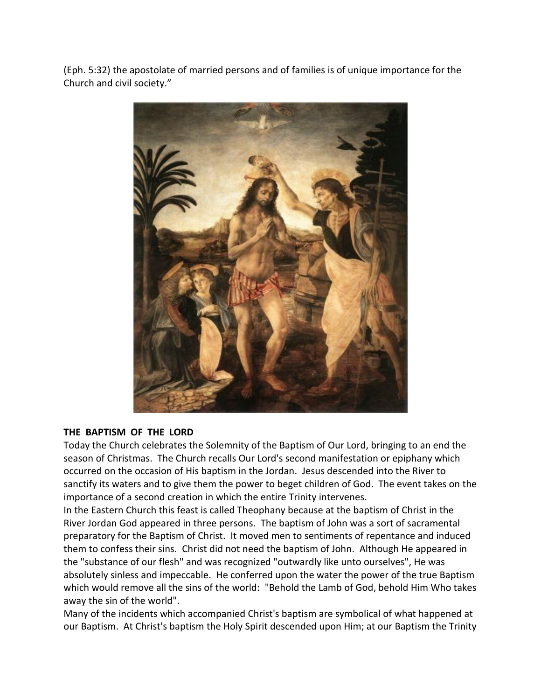(Eph. 5:32) the apostolate of married persons and of families is of unique importance for the Church and civil society."



#### **THE BAPTISM OF THE LORD**

Today the Church celebrates the Solemnity of the Baptism of Our Lord, bringing to an end the season of Christmas. The Church recalls Our Lord's second manifestation or epiphany which occurred on the occasion of His baptism in the Jordan. Jesus descended into the River to sanctify its waters and to give them the power to beget children of God. The event takes on the importance of a second creation in which the entire Trinity intervenes.

In the Eastern Church this feast is called Theophany because at the baptism of Christ in the River Jordan God appeared in three persons. The baptism of John was a sort of sacramental preparatory for the Baptism of Christ. It moved men to sentiments of repentance and induced them to confess their sins. Christ did not need the baptism of John. Although He appeared in the "substance of our flesh" and was recognized "outwardly like unto ourselves", He was absolutely sinless and impeccable. He conferred upon the water the power of the true Baptism which would remove all the sins of the world: "Behold the Lamb of God, behold Him Who takes away the sin of the world".

Many of the incidents which accompanied Christ's baptism are symbolical of what happened at our Baptism. At Christ's baptism the Holy Spirit descended upon Him; at our Baptism the Trinity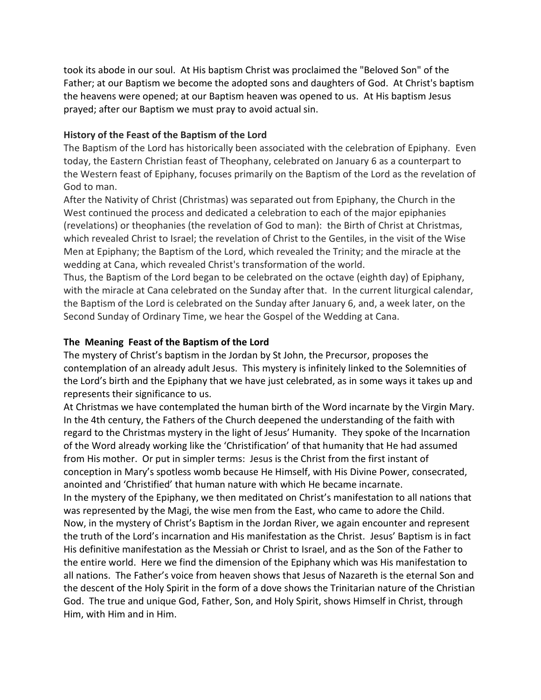took its abode in our soul. At His baptism Christ was proclaimed the "Beloved Son" of the Father; at our Baptism we become the adopted sons and daughters of God. At Christ's baptism the heavens were opened; at our Baptism heaven was opened to us. At His baptism Jesus prayed; after our Baptism we must pray to avoid actual sin.

#### **History of the Feast of the Baptism of the Lord**

The Baptism of the Lord has historically been associated with the celebration of Epiphany. Even today, the Eastern Christian feast of Theophany, celebrated on January 6 as a counterpart to the Western feast of Epiphany, focuses primarily on the Baptism of the Lord as the revelation of God to man.

After the Nativity of Christ (Christmas) was separated out from Epiphany, the Church in the West continued the process and dedicated a celebration to each of the major epiphanies (revelations) or theophanies (the revelation of God to man): the Birth of Christ at Christmas, which revealed Christ to Israel; the revelation of Christ to the Gentiles, in the visit of the Wise Men at Epiphany; the Baptism of the Lord, which revealed the Trinity; and the miracle at the wedding at Cana, which revealed Christ's transformation of the world.

Thus, the Baptism of the Lord began to be celebrated on the octave (eighth day) of Epiphany, with the miracle at Cana celebrated on the Sunday after that. In the current liturgical calendar, the Baptism of the Lord is celebrated on the Sunday after January 6, and, a week later, on the Second Sunday of Ordinary Time, we hear the Gospel of the Wedding at Cana.

#### **The Meaning Feast of the Baptism of the Lord**

The mystery of Christ's baptism in the Jordan by St John, the Precursor, proposes the contemplation of an already adult Jesus. This mystery is infinitely linked to the Solemnities of the Lord's birth and the Epiphany that we have just celebrated, as in some ways it takes up and represents their significance to us.

At Christmas we have contemplated the human birth of the Word incarnate by the Virgin Mary. In the 4th century, the Fathers of the Church deepened the understanding of the faith with regard to the Christmas mystery in the light of Jesus' Humanity. They spoke of the Incarnation of the Word already working like the 'Christification' of that humanity that He had assumed from His mother. Or put in simpler terms: Jesus is the Christ from the first instant of conception in Mary's spotless womb because He Himself, with His Divine Power, consecrated, anointed and 'Christified' that human nature with which He became incarnate.

In the mystery of the Epiphany, we then meditated on Christ's manifestation to all nations that was represented by the Magi, the wise men from the East, who came to adore the Child. Now, in the mystery of Christ's Baptism in the Jordan River, we again encounter and represent the truth of the Lord's incarnation and His manifestation as the Christ. Jesus' Baptism is in fact His definitive manifestation as the Messiah or Christ to Israel, and as the Son of the Father to the entire world. Here we find the dimension of the Epiphany which was His manifestation to all nations. The Father's voice from heaven shows that Jesus of Nazareth is the eternal Son and the descent of the Holy Spirit in the form of a dove shows the Trinitarian nature of the Christian God. The true and unique God, Father, Son, and Holy Spirit, shows Himself in Christ, through Him, with Him and in Him.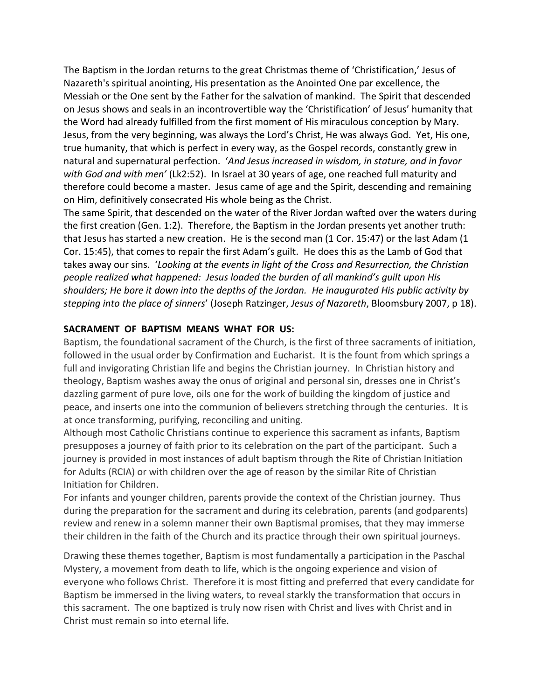The Baptism in the Jordan returns to the great Christmas theme of 'Christification,' Jesus of Nazareth's spiritual anointing, His presentation as the Anointed One par excellence, the Messiah or the One sent by the Father for the salvation of mankind. The Spirit that descended on Jesus shows and seals in an incontrovertible way the 'Christification' of Jesus' humanity that the Word had already fulfilled from the first moment of His miraculous conception by Mary. Jesus, from the very beginning, was always the Lord's Christ, He was always God. Yet, His one, true humanity, that which is perfect in every way, as the Gospel records, constantly grew in natural and supernatural perfection. '*And Jesus increased in wisdom, in stature, and in favor with God and with men'* (Lk2:52). In Israel at 30 years of age, one reached full maturity and therefore could become a master. Jesus came of age and the Spirit, descending and remaining on Him, definitively consecrated His whole being as the Christ.

The same Spirit, that descended on the water of the River Jordan wafted over the waters during the first creation (Gen. 1:2). Therefore, the Baptism in the Jordan presents yet another truth: that Jesus has started a new creation. He is the second man (1 Cor. 15:47) or the last Adam (1 Cor. 15:45), that comes to repair the first Adam's guilt. He does this as the Lamb of God that takes away our sins. '*Looking at the events in light of the Cross and Resurrection, the Christian people realized what happened: Jesus loaded the burden of all mankind's guilt upon His shoulders; He bore it down into the depths of the Jordan. He inaugurated His public activity by stepping into the place of sinners*' (Joseph Ratzinger, *Jesus of Nazareth*, Bloomsbury 2007, p 18).

#### **SACRAMENT OF BAPTISM MEANS WHAT FOR US:**

Baptism, the foundational sacrament of the Church, is the first of three sacraments of initiation, followed in the usual order by Confirmation and Eucharist. It is the fount from which springs a full and invigorating Christian life and begins the Christian journey. In Christian history and theology, Baptism washes away the onus of original and personal sin, dresses one in Christ's dazzling garment of pure love, oils one for the work of building the kingdom of justice and peace, and inserts one into the communion of believers stretching through the centuries. It is at once transforming, purifying, reconciling and uniting.

Although most Catholic Christians continue to experience this sacrament as infants, Baptism presupposes a journey of faith prior to its celebration on the part of the participant. Such a journey is provided in most instances of adult baptism through the Rite of Christian Initiation for Adults (RCIA) or with children over the age of reason by the similar Rite of Christian Initiation for Children.

For infants and younger children, parents provide the context of the Christian journey. Thus during the preparation for the sacrament and during its celebration, parents (and godparents) review and renew in a solemn manner their own Baptismal promises, that they may immerse their children in the faith of the Church and its practice through their own spiritual journeys.

Drawing these themes together, Baptism is most fundamentally a participation in the Paschal Mystery, a movement from death to life, which is the ongoing experience and vision of everyone who follows Christ. Therefore it is most fitting and preferred that every candidate for Baptism be immersed in the living waters, to reveal starkly the transformation that occurs in this sacrament. The one baptized is truly now risen with Christ and lives with Christ and in Christ must remain so into eternal life.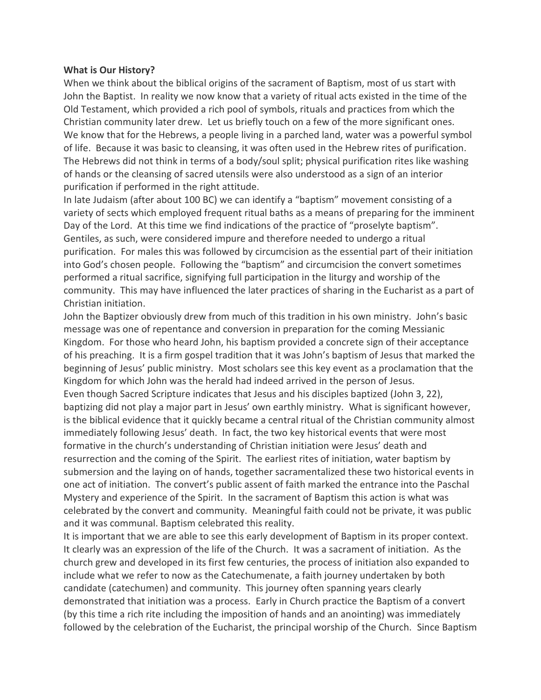#### **What is Our History?**

When we think about the biblical origins of the sacrament of Baptism, most of us start with John the Baptist. In reality we now know that a variety of ritual acts existed in the time of the Old Testament, which provided a rich pool of symbols, rituals and practices from which the Christian community later drew. Let us briefly touch on a few of the more significant ones. We know that for the Hebrews, a people living in a parched land, water was a powerful symbol of life. Because it was basic to cleansing, it was often used in the Hebrew rites of purification. The Hebrews did not think in terms of a body/soul split; physical purification rites like washing of hands or the cleansing of sacred utensils were also understood as a sign of an interior purification if performed in the right attitude.

In late Judaism (after about 100 BC) we can identify a "baptism" movement consisting of a variety of sects which employed frequent ritual baths as a means of preparing for the imminent Day of the Lord. At this time we find indications of the practice of "proselyte baptism". Gentiles, as such, were considered impure and therefore needed to undergo a ritual purification. For males this was followed by circumcision as the essential part of their initiation into God's chosen people. Following the "baptism" and circumcision the convert sometimes performed a ritual sacrifice, signifying full participation in the liturgy and worship of the community. This may have influenced the later practices of sharing in the Eucharist as a part of Christian initiation.

John the Baptizer obviously drew from much of this tradition in his own ministry. John's basic message was one of repentance and conversion in preparation for the coming Messianic Kingdom. For those who heard John, his baptism provided a concrete sign of their acceptance of his preaching. It is a firm gospel tradition that it was John's baptism of Jesus that marked the beginning of Jesus' public ministry. Most scholars see this key event as a proclamation that the Kingdom for which John was the herald had indeed arrived in the person of Jesus. Even though Sacred Scripture indicates that Jesus and his disciples baptized (John 3, 22),

baptizing did not play a major part in Jesus' own earthly ministry. What is significant however, is the biblical evidence that it quickly became a central ritual of the Christian community almost immediately following Jesus' death. In fact, the two key historical events that were most formative in the church's understanding of Christian initiation were Jesus' death and resurrection and the coming of the Spirit. The earliest rites of initiation, water baptism by submersion and the laying on of hands, together sacramentalized these two historical events in one act of initiation. The convert's public assent of faith marked the entrance into the Paschal Mystery and experience of the Spirit. In the sacrament of Baptism this action is what was celebrated by the convert and community. Meaningful faith could not be private, it was public and it was communal. Baptism celebrated this reality.

It is important that we are able to see this early development of Baptism in its proper context. It clearly was an expression of the life of the Church. It was a sacrament of initiation. As the church grew and developed in its first few centuries, the process of initiation also expanded to include what we refer to now as the Catechumenate, a faith journey undertaken by both candidate (catechumen) and community. This journey often spanning years clearly demonstrated that initiation was a process. Early in Church practice the Baptism of a convert (by this time a rich rite including the imposition of hands and an anointing) was immediately followed by the celebration of the Eucharist, the principal worship of the Church. Since Baptism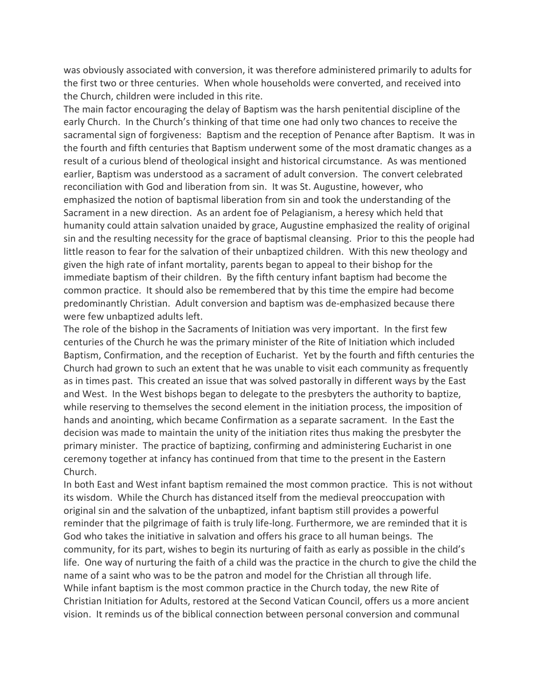was obviously associated with conversion, it was therefore administered primarily to adults for the first two or three centuries. When whole households were converted, and received into the Church, children were included in this rite.

The main factor encouraging the delay of Baptism was the harsh penitential discipline of the early Church. In the Church's thinking of that time one had only two chances to receive the sacramental sign of forgiveness: Baptism and the reception of Penance after Baptism. It was in the fourth and fifth centuries that Baptism underwent some of the most dramatic changes as a result of a curious blend of theological insight and historical circumstance. As was mentioned earlier, Baptism was understood as a sacrament of adult conversion. The convert celebrated reconciliation with God and liberation from sin. It was St. Augustine, however, who emphasized the notion of baptismal liberation from sin and took the understanding of the Sacrament in a new direction. As an ardent foe of Pelagianism, a heresy which held that humanity could attain salvation unaided by grace, Augustine emphasized the reality of original sin and the resulting necessity for the grace of baptismal cleansing. Prior to this the people had little reason to fear for the salvation of their unbaptized children. With this new theology and given the high rate of infant mortality, parents began to appeal to their bishop for the immediate baptism of their children. By the fifth century infant baptism had become the common practice. It should also be remembered that by this time the empire had become predominantly Christian. Adult conversion and baptism was de-emphasized because there were few unbaptized adults left.

The role of the bishop in the Sacraments of Initiation was very important. In the first few centuries of the Church he was the primary minister of the Rite of Initiation which included Baptism, Confirmation, and the reception of Eucharist. Yet by the fourth and fifth centuries the Church had grown to such an extent that he was unable to visit each community as frequently as in times past. This created an issue that was solved pastorally in different ways by the East and West. In the West bishops began to delegate to the presbyters the authority to baptize, while reserving to themselves the second element in the initiation process, the imposition of hands and anointing, which became Confirmation as a separate sacrament. In the East the decision was made to maintain the unity of the initiation rites thus making the presbyter the primary minister. The practice of baptizing, confirming and administering Eucharist in one ceremony together at infancy has continued from that time to the present in the Eastern Church.

In both East and West infant baptism remained the most common practice. This is not without its wisdom. While the Church has distanced itself from the medieval preoccupation with original sin and the salvation of the unbaptized, infant baptism still provides a powerful reminder that the pilgrimage of faith is truly life-long. Furthermore, we are reminded that it is God who takes the initiative in salvation and offers his grace to all human beings. The community, for its part, wishes to begin its nurturing of faith as early as possible in the child's life. One way of nurturing the faith of a child was the practice in the church to give the child the name of a saint who was to be the patron and model for the Christian all through life. While infant baptism is the most common practice in the Church today, the new Rite of Christian Initiation for Adults, restored at the Second Vatican Council, offers us a more ancient vision. It reminds us of the biblical connection between personal conversion and communal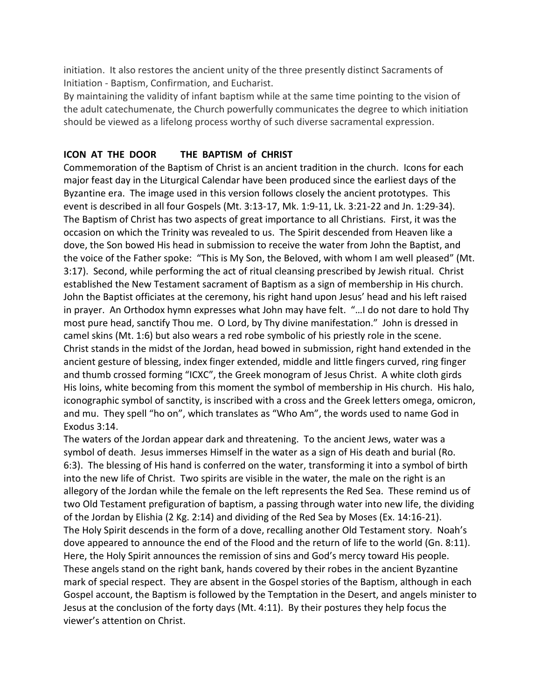initiation. It also restores the ancient unity of the three presently distinct Sacraments of Initiation - Baptism, Confirmation, and Eucharist.

By maintaining the validity of infant baptism while at the same time pointing to the vision of the adult catechumenate, the Church powerfully communicates the degree to which initiation should be viewed as a lifelong process worthy of such diverse sacramental expression.

### **ICON AT THE DOOR THE BAPTISM of CHRIST**

Commemoration of the Baptism of Christ is an ancient tradition in the church. Icons for each major feast day in the Liturgical Calendar have been produced since the earliest days of the Byzantine era. The image used in this version follows closely the ancient prototypes. This event is described in all four Gospels (Mt. 3:13-17, Mk. 1:9-11, Lk. 3:21-22 and Jn. 1:29-34). The Baptism of Christ has two aspects of great importance to all Christians. First, it was the occasion on which the Trinity was revealed to us. The Spirit descended from Heaven like a dove, the Son bowed His head in submission to receive the water from John the Baptist, and the voice of the Father spoke: "This is My Son, the Beloved, with whom I am well pleased" (Mt. 3:17). Second, while performing the act of ritual cleansing prescribed by Jewish ritual. Christ established the New Testament sacrament of Baptism as a sign of membership in His church. John the Baptist officiates at the ceremony, his right hand upon Jesus' head and his left raised in prayer. An Orthodox hymn expresses what John may have felt. "…I do not dare to hold Thy most pure head, sanctify Thou me. O Lord, by Thy divine manifestation." John is dressed in camel skins (Mt. 1:6) but also wears a red robe symbolic of his priestly role in the scene. Christ stands in the midst of the Jordan, head bowed in submission, right hand extended in the ancient gesture of blessing, index finger extended, middle and little fingers curved, ring finger and thumb crossed forming "ICXC", the Greek monogram of Jesus Christ. A white cloth girds His loins, white becoming from this moment the symbol of membership in His church. His halo, iconographic symbol of sanctity, is inscribed with a cross and the Greek letters omega, omicron, and mu. They spell "ho on", which translates as "Who Am", the words used to name God in Exodus 3:14.

The waters of the Jordan appear dark and threatening. To the ancient Jews, water was a symbol of death. Jesus immerses Himself in the water as a sign of His death and burial (Ro. 6:3). The blessing of His hand is conferred on the water, transforming it into a symbol of birth into the new life of Christ. Two spirits are visible in the water, the male on the right is an allegory of the Jordan while the female on the left represents the Red Sea. These remind us of two Old Testament prefiguration of baptism, a passing through water into new life, the dividing of the Jordan by Elishia (2 Kg. 2:14) and dividing of the Red Sea by Moses (Ex. 14:16-21). The Holy Spirit descends in the form of a dove, recalling another Old Testament story. Noah's dove appeared to announce the end of the Flood and the return of life to the world (Gn. 8:11). Here, the Holy Spirit announces the remission of sins and God's mercy toward His people. These angels stand on the right bank, hands covered by their robes in the ancient Byzantine mark of special respect. They are absent in the Gospel stories of the Baptism, although in each Gospel account, the Baptism is followed by the Temptation in the Desert, and angels minister to Jesus at the conclusion of the forty days (Mt. 4:11). By their postures they help focus the viewer's attention on Christ.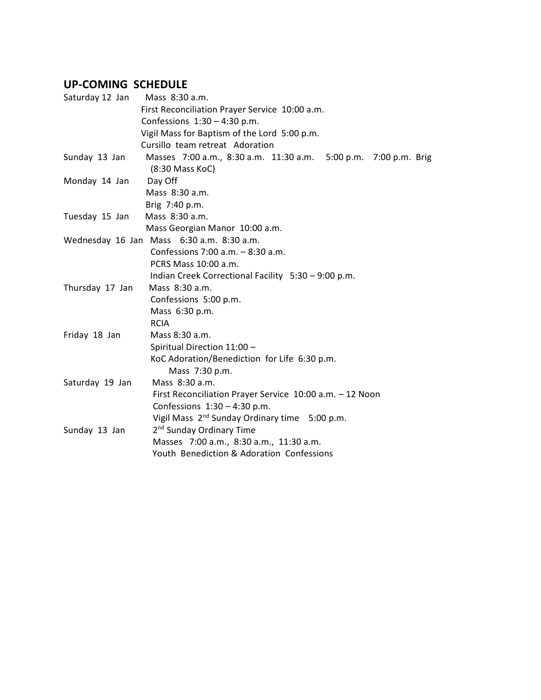## **UP-COMING SCHEDULE**

| Saturday 12 Jan | Mass 8:30 a.m.                                                  |
|-----------------|-----------------------------------------------------------------|
|                 | First Reconciliation Prayer Service 10:00 a.m.                  |
|                 | Confessions $1:30 - 4:30$ p.m.                                  |
|                 | Vigil Mass for Baptism of the Lord 5:00 p.m.                    |
|                 | Cursillo team retreat Adoration                                 |
| Sunday 13 Jan   | Masses 7:00 a.m., 8:30 a.m. 11:30 a.m. 5:00 p.m. 7:00 p.m. Brig |
|                 | (8:30 Mass KoC)                                                 |
| Monday 14 Jan   | Day Off                                                         |
|                 | Mass 8:30 a.m.                                                  |
|                 | Brig 7:40 p.m.                                                  |
| Tuesday 15 Jan  | Mass 8:30 a.m.                                                  |
|                 | Mass Georgian Manor 10:00 a.m.                                  |
|                 | Wednesday 16 Jan Mass 6:30 a.m. 8:30 a.m.                       |
|                 | Confessions 7:00 $a.m. - 8:30 a.m.$                             |
|                 | PCRS Mass 10:00 a.m.                                            |
|                 | Indian Creek Correctional Facility 5:30 - 9:00 p.m.             |
| Thursday 17 Jan | Mass 8:30 a.m.                                                  |
|                 | Confessions 5:00 p.m.                                           |
|                 | Mass 6:30 p.m.                                                  |
|                 | <b>RCIA</b>                                                     |
| Friday 18 Jan   | Mass 8:30 a.m.                                                  |
|                 | Spiritual Direction 11:00 -                                     |
|                 | KoC Adoration/Benediction for Life 6:30 p.m.                    |
|                 | Mass 7:30 p.m.                                                  |
| Saturday 19 Jan | Mass 8:30 a.m.                                                  |
|                 | First Reconciliation Prayer Service 10:00 a.m. - 12 Noon        |
|                 | Confessions $1:30 - 4:30$ p.m.                                  |
|                 | Vigil Mass 2 <sup>nd</sup> Sunday Ordinary time 5:00 p.m.       |
| Sunday 13 Jan   | 2 <sup>nd</sup> Sunday Ordinary Time                            |
|                 | Masses 7:00 a.m., 8:30 a.m., 11:30 a.m.                         |
|                 | Youth Benediction & Adoration Confessions                       |